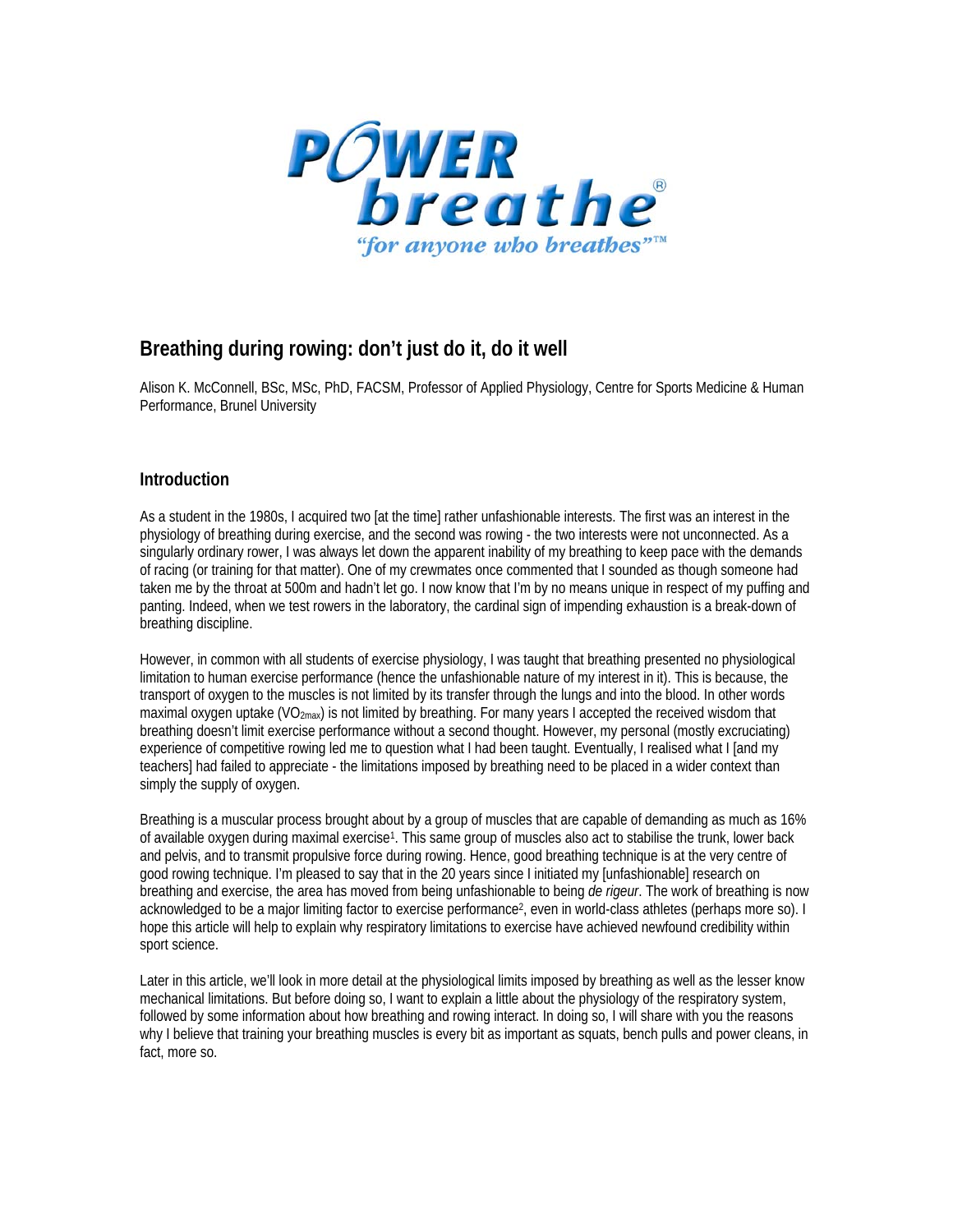

# **Breathing during rowing: don't just do it, do it well**

Alison K. McConnell, BSc, MSc, PhD, FACSM, Professor of Applied Physiology, Centre for Sports Medicine & Human Performance, Brunel University

## **Introduction**

As a student in the 1980s, I acquired two [at the time] rather unfashionable interests. The first was an interest in the physiology of breathing during exercise, and the second was rowing - the two interests were not unconnected. As a singularly ordinary rower, I was always let down the apparent inability of my breathing to keep pace with the demands of racing (or training for that matter). One of my crewmates once commented that I sounded as though someone had taken me by the throat at 500m and hadn't let go. I now know that I'm by no means unique in respect of my puffing and panting. Indeed, when we test rowers in the laboratory, the cardinal sign of impending exhaustion is a break-down of breathing discipline.

However, in common with all students of exercise physiology, I was taught that breathing presented no physiological limitation to human exercise performance (hence the unfashionable nature of my interest in it). This is because, the transport of oxygen to the muscles is not limited by its transfer through the lungs and into the blood. In other words maximal oxygen uptake (VO<sub>2max</sub>) is not limited by breathing. For many years I accepted the received wisdom that breathing doesn't limit exercise performance without a second thought. However, my personal (mostly excruciating) experience of competitive rowing led me to question what I had been taught. Eventually, I realised what I [and my teachers] had failed to appreciate - the limitations imposed by breathing need to be placed in a wider context than simply the supply of oxygen.

Breathing is a muscular process brought about by a group of muscles that are capable of demanding as much as 16% of available oxygen during maximal exercise1. This same group of muscles also act to stabilise the trunk, lower back and pelvis, and to transmit propulsive force during rowing. Hence, good breathing technique is at the very centre of good rowing technique. I'm pleased to say that in the 20 years since I initiated my [unfashionable] research on breathing and exercise, the area has moved from being unfashionable to being *de rigeur*. The work of breathing is now acknowledged to be a major limiting factor to exercise performance2, even in world-class athletes (perhaps more so). I hope this article will help to explain why respiratory limitations to exercise have achieved newfound credibility within sport science.

Later in this article, we'll look in more detail at the physiological limits imposed by breathing as well as the lesser know mechanical limitations. But before doing so, I want to explain a little about the physiology of the respiratory system, followed by some information about how breathing and rowing interact. In doing so, I will share with you the reasons why I believe that training your breathing muscles is every bit as important as squats, bench pulls and power cleans, in fact, more so.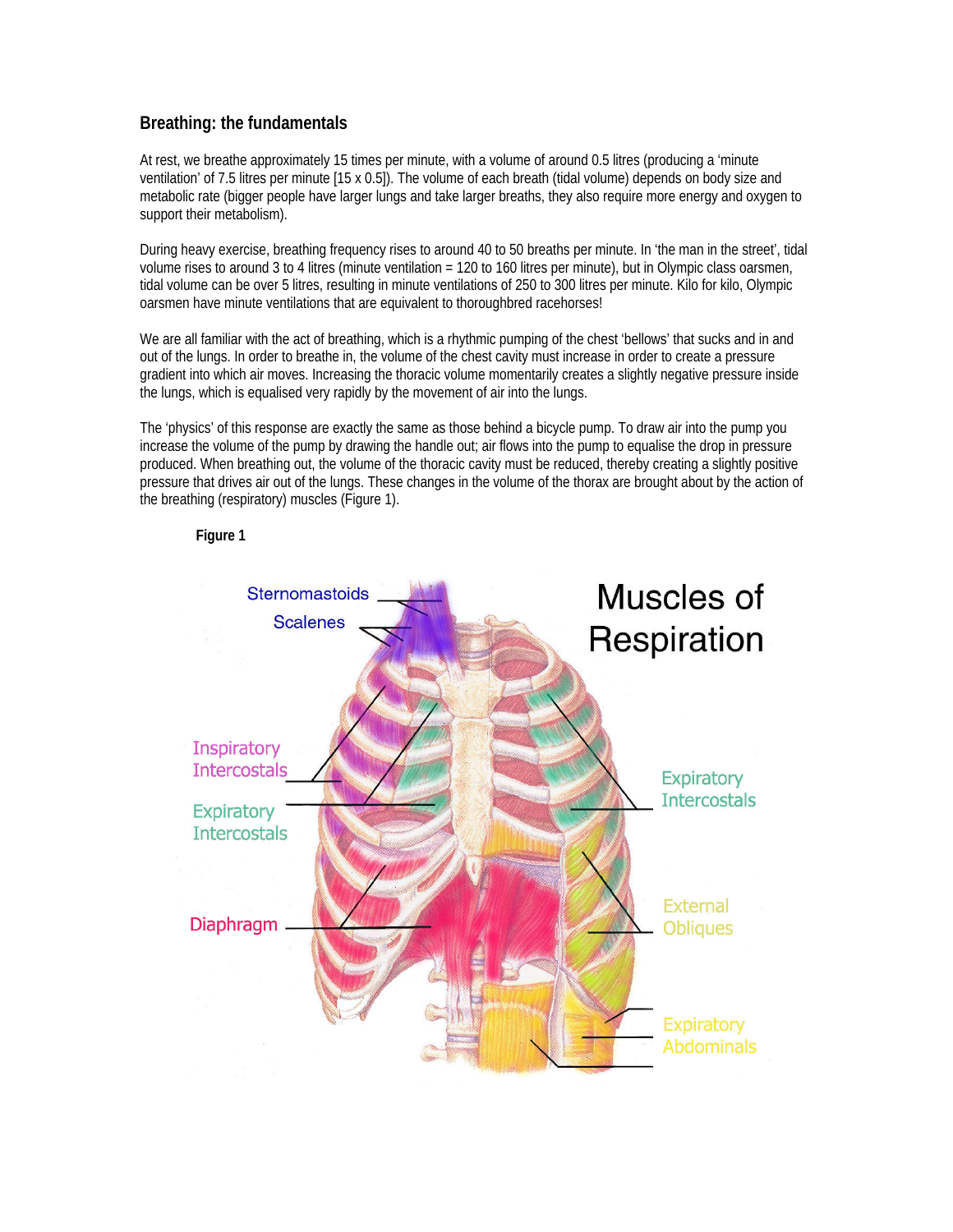# **Breathing: the fundamentals**

At rest, we breathe approximately 15 times per minute, with a volume of around 0.5 litres (producing a 'minute ventilation' of 7.5 litres per minute [15 x 0.5]). The volume of each breath (tidal volume) depends on body size and metabolic rate (bigger people have larger lungs and take larger breaths, they also require more energy and oxygen to support their metabolism).

During heavy exercise, breathing frequency rises to around 40 to 50 breaths per minute. In 'the man in the street', tidal volume rises to around 3 to 4 litres (minute ventilation = 120 to 160 litres per minute), but in Olympic class oarsmen, tidal volume can be over 5 litres, resulting in minute ventilations of 250 to 300 litres per minute. Kilo for kilo, Olympic oarsmen have minute ventilations that are equivalent to thoroughbred racehorses!

We are all familiar with the act of breathing, which is a rhythmic pumping of the chest 'bellows' that sucks and in and out of the lungs. In order to breathe in, the volume of the chest cavity must increase in order to create a pressure gradient into which air moves. Increasing the thoracic volume momentarily creates a slightly negative pressure inside the lungs, which is equalised very rapidly by the movement of air into the lungs.

The 'physics' of this response are exactly the same as those behind a bicycle pump. To draw air into the pump you increase the volume of the pump by drawing the handle out; air flows into the pump to equalise the drop in pressure produced. When breathing out, the volume of the thoracic cavity must be reduced, thereby creating a slightly positive pressure that drives air out of the lungs. These changes in the volume of the thorax are brought about by the action of the breathing (respiratory) muscles (Figure 1).



**Figure 1**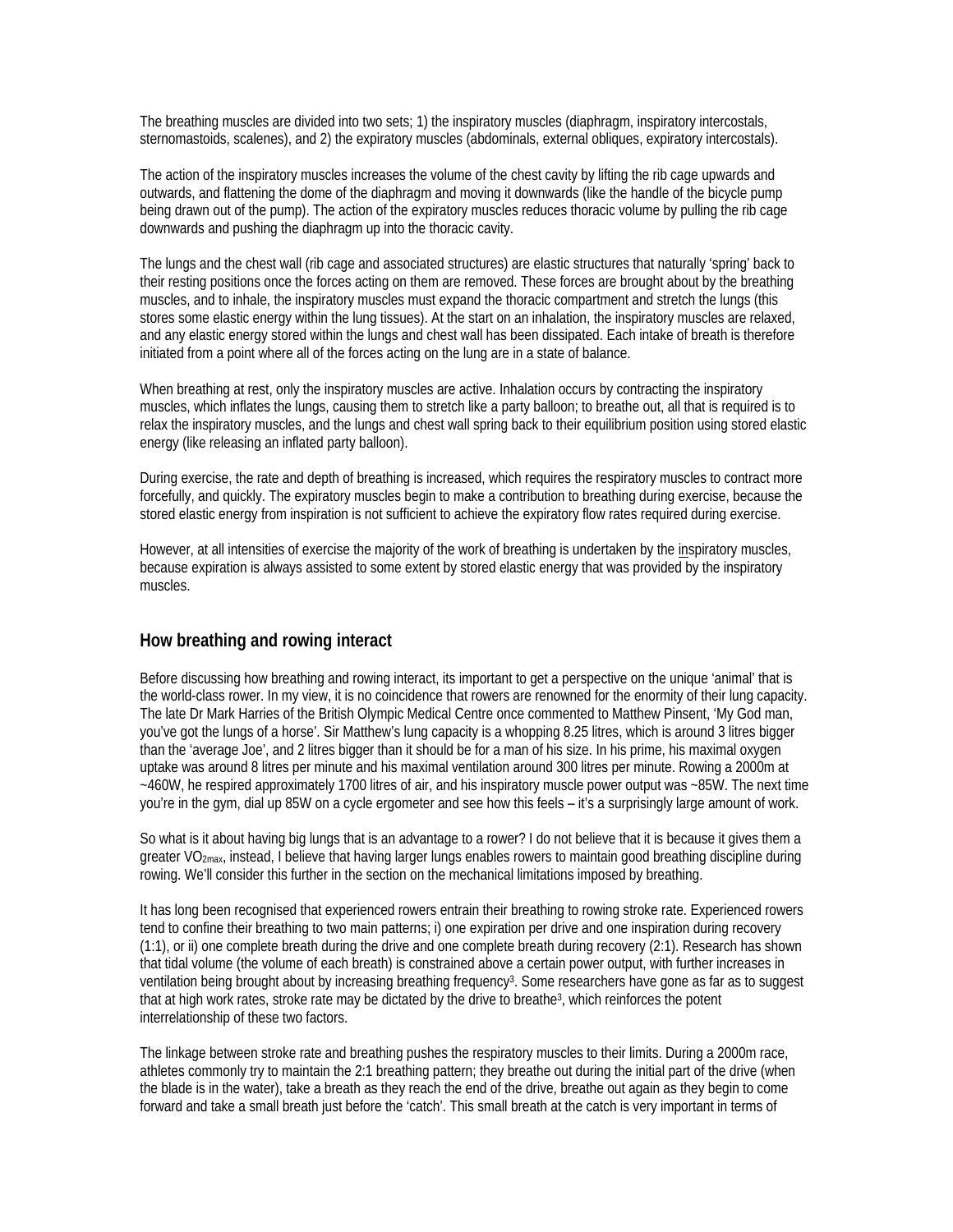The breathing muscles are divided into two sets; 1) the inspiratory muscles (diaphragm, inspiratory intercostals, sternomastoids, scalenes), and 2) the expiratory muscles (abdominals, external obliques, expiratory intercostals).

The action of the inspiratory muscles increases the volume of the chest cavity by lifting the rib cage upwards and outwards, and flattening the dome of the diaphragm and moving it downwards (like the handle of the bicycle pump being drawn out of the pump). The action of the expiratory muscles reduces thoracic volume by pulling the rib cage downwards and pushing the diaphragm up into the thoracic cavity.

The lungs and the chest wall (rib cage and associated structures) are elastic structures that naturally 'spring' back to their resting positions once the forces acting on them are removed. These forces are brought about by the breathing muscles, and to inhale, the inspiratory muscles must expand the thoracic compartment and stretch the lungs (this stores some elastic energy within the lung tissues). At the start on an inhalation, the inspiratory muscles are relaxed, and any elastic energy stored within the lungs and chest wall has been dissipated. Each intake of breath is therefore initiated from a point where all of the forces acting on the lung are in a state of balance.

When breathing at rest, only the inspiratory muscles are active. Inhalation occurs by contracting the inspiratory muscles, which inflates the lungs, causing them to stretch like a party balloon; to breathe out, all that is required is to relax the inspiratory muscles, and the lungs and chest wall spring back to their equilibrium position using stored elastic energy (like releasing an inflated party balloon).

During exercise, the rate and depth of breathing is increased, which requires the respiratory muscles to contract more forcefully, and quickly. The expiratory muscles begin to make a contribution to breathing during exercise, because the stored elastic energy from inspiration is not sufficient to achieve the expiratory flow rates required during exercise.

However, at all intensities of exercise the majority of the work of breathing is undertaken by the inspiratory muscles, because expiration is always assisted to some extent by stored elastic energy that was provided by the inspiratory muscles.

## **How breathing and rowing interact**

Before discussing how breathing and rowing interact, its important to get a perspective on the unique 'animal' that is the world-class rower. In my view, it is no coincidence that rowers are renowned for the enormity of their lung capacity. The late Dr Mark Harries of the British Olympic Medical Centre once commented to Matthew Pinsent, 'My God man, you've got the lungs of a horse'. Sir Matthew's lung capacity is a whopping 8.25 litres, which is around 3 litres bigger than the 'average Joe', and 2 litres bigger than it should be for a man of his size. In his prime, his maximal oxygen uptake was around 8 litres per minute and his maximal ventilation around 300 litres per minute. Rowing a 2000m at ~460W, he respired approximately 1700 litres of air, and his inspiratory muscle power output was ~85W. The next time you're in the gym, dial up 85W on a cycle ergometer and see how this feels – it's a surprisingly large amount of work.

So what is it about having big lungs that is an advantage to a rower? I do not believe that it is because it gives them a greater VO<sub>2max</sub>, instead, I believe that having larger lungs enables rowers to maintain good breathing discipline during rowing. We'll consider this further in the section on the mechanical limitations imposed by breathing.

It has long been recognised that experienced rowers entrain their breathing to rowing stroke rate. Experienced rowers tend to confine their breathing to two main patterns; i) one expiration per drive and one inspiration during recovery (1:1), or ii) one complete breath during the drive and one complete breath during recovery (2:1). Research has shown that tidal volume (the volume of each breath) is constrained above a certain power output, with further increases in ventilation being brought about by increasing breathing frequency3. Some researchers have gone as far as to suggest that at high work rates, stroke rate may be dictated by the drive to breathe3, which reinforces the potent interrelationship of these two factors.

The linkage between stroke rate and breathing pushes the respiratory muscles to their limits. During a 2000m race, athletes commonly try to maintain the 2:1 breathing pattern; they breathe out during the initial part of the drive (when the blade is in the water), take a breath as they reach the end of the drive, breathe out again as they begin to come forward and take a small breath just before the 'catch'. This small breath at the catch is very important in terms of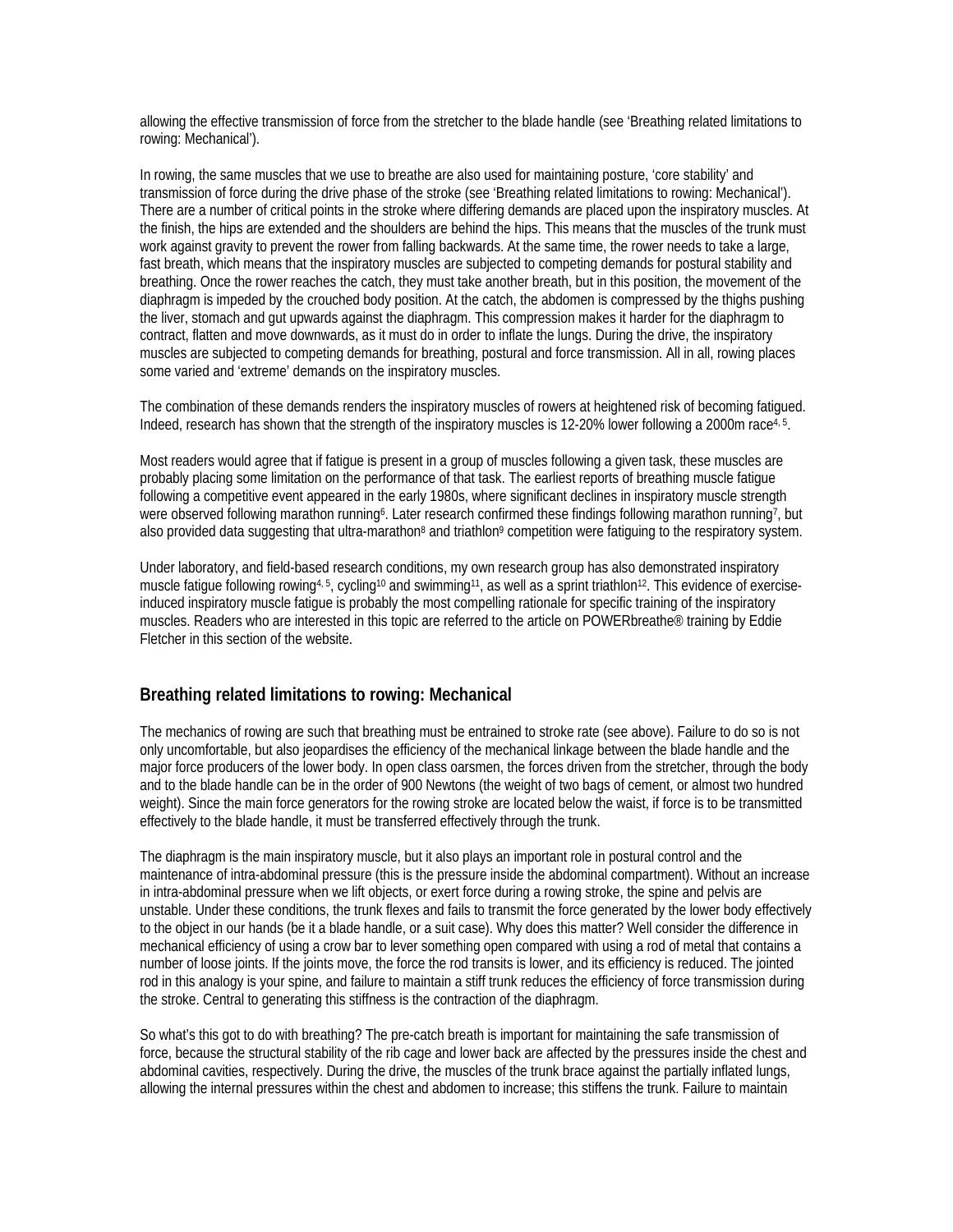allowing the effective transmission of force from the stretcher to the blade handle (see 'Breathing related limitations to rowing: Mechanical').

In rowing, the same muscles that we use to breathe are also used for maintaining posture, 'core stability' and transmission of force during the drive phase of the stroke (see 'Breathing related limitations to rowing: Mechanical'). There are a number of critical points in the stroke where differing demands are placed upon the inspiratory muscles. At the finish, the hips are extended and the shoulders are behind the hips. This means that the muscles of the trunk must work against gravity to prevent the rower from falling backwards. At the same time, the rower needs to take a large, fast breath, which means that the inspiratory muscles are subjected to competing demands for postural stability and breathing. Once the rower reaches the catch, they must take another breath, but in this position, the movement of the diaphragm is impeded by the crouched body position. At the catch, the abdomen is compressed by the thighs pushing the liver, stomach and gut upwards against the diaphragm. This compression makes it harder for the diaphragm to contract, flatten and move downwards, as it must do in order to inflate the lungs. During the drive, the inspiratory muscles are subjected to competing demands for breathing, postural and force transmission. All in all, rowing places some varied and 'extreme' demands on the inspiratory muscles.

The combination of these demands renders the inspiratory muscles of rowers at heightened risk of becoming fatigued. Indeed, research has shown that the strength of the inspiratory muscles is 12-20% lower following a 2000m race<sup>4, 5</sup>.

Most readers would agree that if fatigue is present in a group of muscles following a given task, these muscles are probably placing some limitation on the performance of that task. The earliest reports of breathing muscle fatigue following a competitive event appeared in the early 1980s, where significant declines in inspiratory muscle strength were observed following marathon running<sup>6</sup>. Later research confirmed these findings following marathon running<sup>7</sup>, but also provided data suggesting that ultra-marathon<sup>8</sup> and triathlon<sup>9</sup> competition were fatiguing to the respiratory system.

Under laboratory, and field-based research conditions, my own research group has also demonstrated inspiratory muscle fatigue following rowing<sup>4, 5</sup>, cycling<sup>10</sup> and swimming<sup>11</sup>, as well as a sprint triathlon<sup>12</sup>. This evidence of exerciseinduced inspiratory muscle fatigue is probably the most compelling rationale for specific training of the inspiratory muscles. Readers who are interested in this topic are referred to the article on POWERbreathe® training by Eddie Fletcher in this section of the website.

#### **Breathing related limitations to rowing: Mechanical**

The mechanics of rowing are such that breathing must be entrained to stroke rate (see above). Failure to do so is not only uncomfortable, but also jeopardises the efficiency of the mechanical linkage between the blade handle and the major force producers of the lower body. In open class oarsmen, the forces driven from the stretcher, through the body and to the blade handle can be in the order of 900 Newtons (the weight of two bags of cement, or almost two hundred weight). Since the main force generators for the rowing stroke are located below the waist, if force is to be transmitted effectively to the blade handle, it must be transferred effectively through the trunk.

The diaphragm is the main inspiratory muscle, but it also plays an important role in postural control and the maintenance of intra-abdominal pressure (this is the pressure inside the abdominal compartment). Without an increase in intra-abdominal pressure when we lift objects, or exert force during a rowing stroke, the spine and pelvis are unstable. Under these conditions, the trunk flexes and fails to transmit the force generated by the lower body effectively to the object in our hands (be it a blade handle, or a suit case). Why does this matter? Well consider the difference in mechanical efficiency of using a crow bar to lever something open compared with using a rod of metal that contains a number of loose joints. If the joints move, the force the rod transits is lower, and its efficiency is reduced. The jointed rod in this analogy is your spine, and failure to maintain a stiff trunk reduces the efficiency of force transmission during the stroke. Central to generating this stiffness is the contraction of the diaphragm.

So what's this got to do with breathing? The pre-catch breath is important for maintaining the safe transmission of force, because the structural stability of the rib cage and lower back are affected by the pressures inside the chest and abdominal cavities, respectively. During the drive, the muscles of the trunk brace against the partially inflated lungs, allowing the internal pressures within the chest and abdomen to increase; this stiffens the trunk. Failure to maintain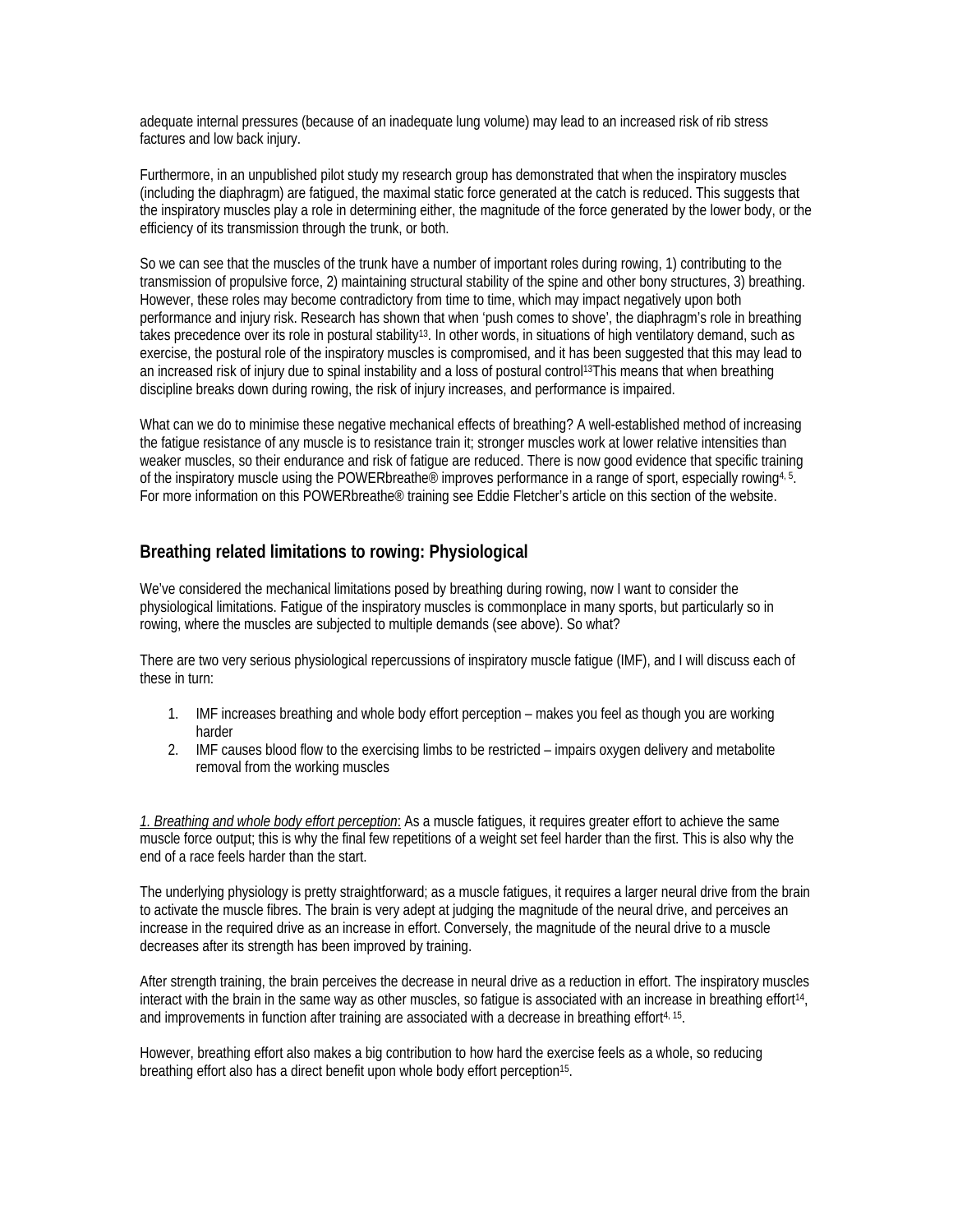adequate internal pressures (because of an inadequate lung volume) may lead to an increased risk of rib stress factures and low back injury.

Furthermore, in an unpublished pilot study my research group has demonstrated that when the inspiratory muscles (including the diaphragm) are fatigued, the maximal static force generated at the catch is reduced. This suggests that the inspiratory muscles play a role in determining either, the magnitude of the force generated by the lower body, or the efficiency of its transmission through the trunk, or both.

So we can see that the muscles of the trunk have a number of important roles during rowing, 1) contributing to the transmission of propulsive force, 2) maintaining structural stability of the spine and other bony structures, 3) breathing. However, these roles may become contradictory from time to time, which may impact negatively upon both performance and injury risk. Research has shown that when 'push comes to shove', the diaphragm's role in breathing takes precedence over its role in postural stability<sup>13</sup>. In other words, in situations of high ventilatory demand, such as exercise, the postural role of the inspiratory muscles is compromised, and it has been suggested that this may lead to an increased risk of injury due to spinal instability and a loss of postural control<sup>13</sup>This means that when breathing discipline breaks down during rowing, the risk of injury increases, and performance is impaired.

What can we do to minimise these negative mechanical effects of breathing? A well-established method of increasing the fatigue resistance of any muscle is to resistance train it; stronger muscles work at lower relative intensities than weaker muscles, so their endurance and risk of fatigue are reduced. There is now good evidence that specific training of the inspiratory muscle using the POWERbreathe<sup>®</sup> improves performance in a range of sport, especially rowing<sup>4, 5</sup>. For more information on this POWERbreathe® training see Eddie Fletcher's article on this section of the website.

# **Breathing related limitations to rowing: Physiological**

We've considered the mechanical limitations posed by breathing during rowing, now I want to consider the physiological limitations. Fatigue of the inspiratory muscles is commonplace in many sports, but particularly so in rowing, where the muscles are subjected to multiple demands (see above). So what?

There are two very serious physiological repercussions of inspiratory muscle fatigue (IMF), and I will discuss each of these in turn:

- 1. IMF increases breathing and whole body effort perception makes you feel as though you are working harder
- 2. IMF causes blood flow to the exercising limbs to be restricted impairs oxygen delivery and metabolite removal from the working muscles

*1. Breathing and whole body effort perception*: As a muscle fatigues, it requires greater effort to achieve the same muscle force output; this is why the final few repetitions of a weight set feel harder than the first. This is also why the end of a race feels harder than the start.

The underlying physiology is pretty straightforward; as a muscle fatigues, it requires a larger neural drive from the brain to activate the muscle fibres. The brain is very adept at judging the magnitude of the neural drive, and perceives an increase in the required drive as an increase in effort. Conversely, the magnitude of the neural drive to a muscle decreases after its strength has been improved by training.

After strength training, the brain perceives the decrease in neural drive as a reduction in effort. The inspiratory muscles interact with the brain in the same way as other muscles, so fatigue is associated with an increase in breathing effort14, and improvements in function after training are associated with a decrease in breathing effort<sup>4, 15</sup>.

However, breathing effort also makes a big contribution to how hard the exercise feels as a whole, so reducing breathing effort also has a direct benefit upon whole body effort perception<sup>15</sup>.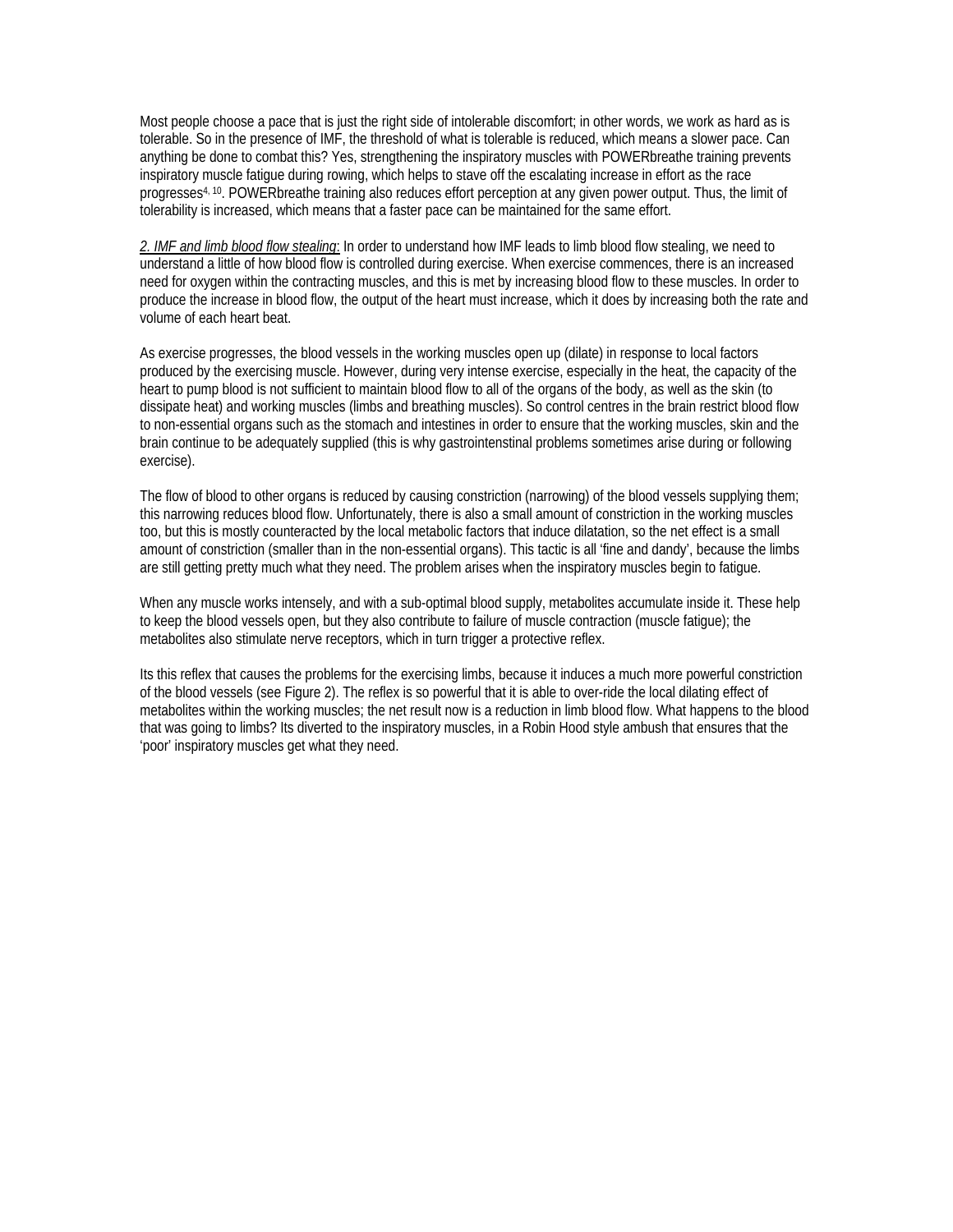Most people choose a pace that is just the right side of intolerable discomfort; in other words, we work as hard as is tolerable. So in the presence of IMF, the threshold of what is tolerable is reduced, which means a slower pace. Can anything be done to combat this? Yes, strengthening the inspiratory muscles with POWERbreathe training prevents inspiratory muscle fatigue during rowing, which helps to stave off the escalating increase in effort as the race progresses4, 10. POWERbreathe training also reduces effort perception at any given power output. Thus, the limit of tolerability is increased, which means that a faster pace can be maintained for the same effort.

*2. IMF and limb blood flow stealing*: In order to understand how IMF leads to limb blood flow stealing, we need to understand a little of how blood flow is controlled during exercise. When exercise commences, there is an increased need for oxygen within the contracting muscles, and this is met by increasing blood flow to these muscles. In order to produce the increase in blood flow, the output of the heart must increase, which it does by increasing both the rate and volume of each heart beat.

As exercise progresses, the blood vessels in the working muscles open up (dilate) in response to local factors produced by the exercising muscle. However, during very intense exercise, especially in the heat, the capacity of the heart to pump blood is not sufficient to maintain blood flow to all of the organs of the body, as well as the skin (to dissipate heat) and working muscles (limbs and breathing muscles). So control centres in the brain restrict blood flow to non-essential organs such as the stomach and intestines in order to ensure that the working muscles, skin and the brain continue to be adequately supplied (this is why gastrointenstinal problems sometimes arise during or following exercise).

The flow of blood to other organs is reduced by causing constriction (narrowing) of the blood vessels supplying them; this narrowing reduces blood flow. Unfortunately, there is also a small amount of constriction in the working muscles too, but this is mostly counteracted by the local metabolic factors that induce dilatation, so the net effect is a small amount of constriction (smaller than in the non-essential organs). This tactic is all 'fine and dandy', because the limbs are still getting pretty much what they need. The problem arises when the inspiratory muscles begin to fatigue.

When any muscle works intensely, and with a sub-optimal blood supply, metabolites accumulate inside it. These help to keep the blood vessels open, but they also contribute to failure of muscle contraction (muscle fatigue); the metabolites also stimulate nerve receptors, which in turn trigger a protective reflex.

Its this reflex that causes the problems for the exercising limbs, because it induces a much more powerful constriction of the blood vessels (see Figure 2). The reflex is so powerful that it is able to over-ride the local dilating effect of metabolites within the working muscles; the net result now is a reduction in limb blood flow. What happens to the blood that was going to limbs? Its diverted to the inspiratory muscles, in a Robin Hood style ambush that ensures that the 'poor' inspiratory muscles get what they need.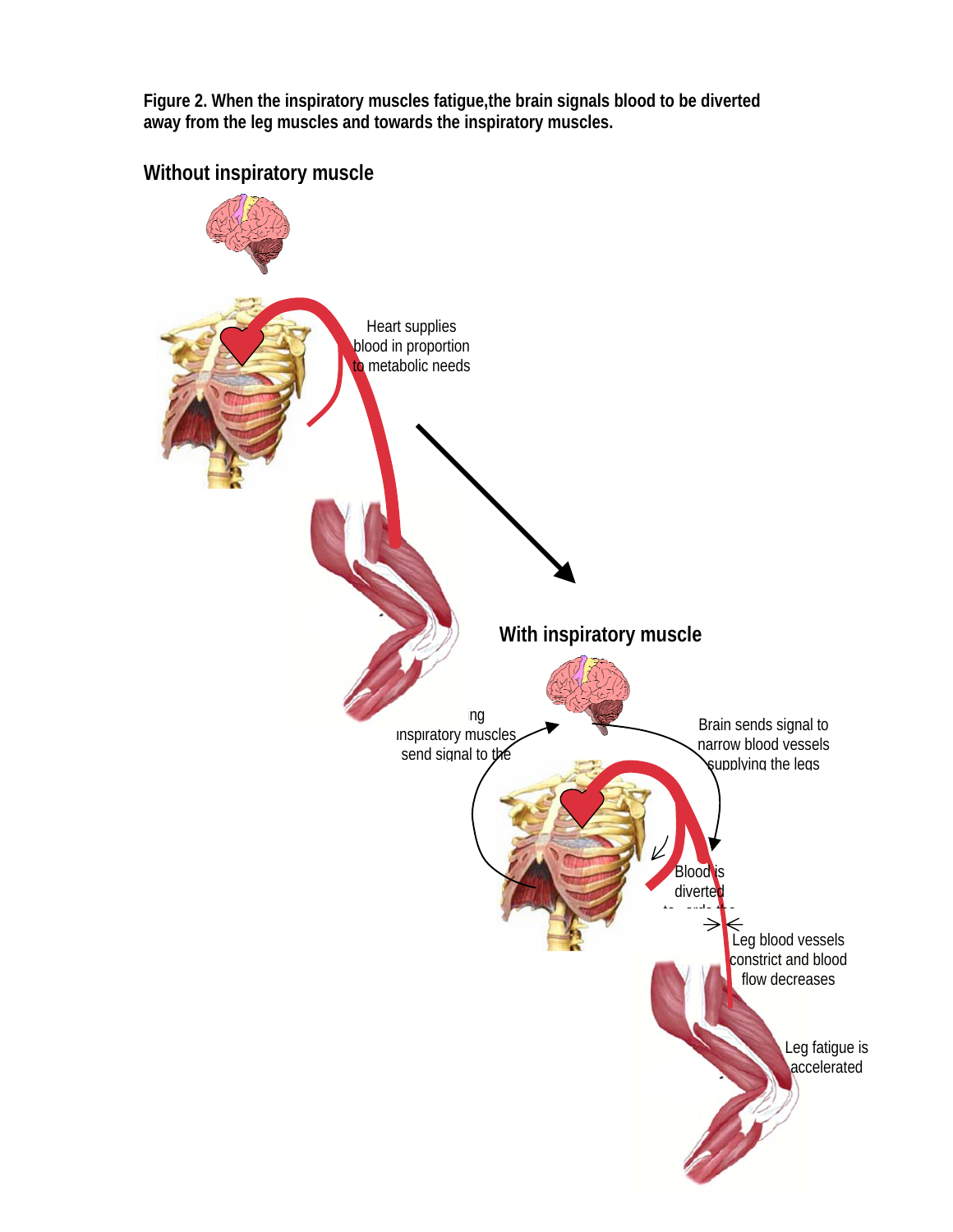**Figure 2. When the inspiratory muscles fatigue,the brain signals blood to be diverted away from the leg muscles and towards the inspiratory muscles.** 



**Without inspiratory muscle**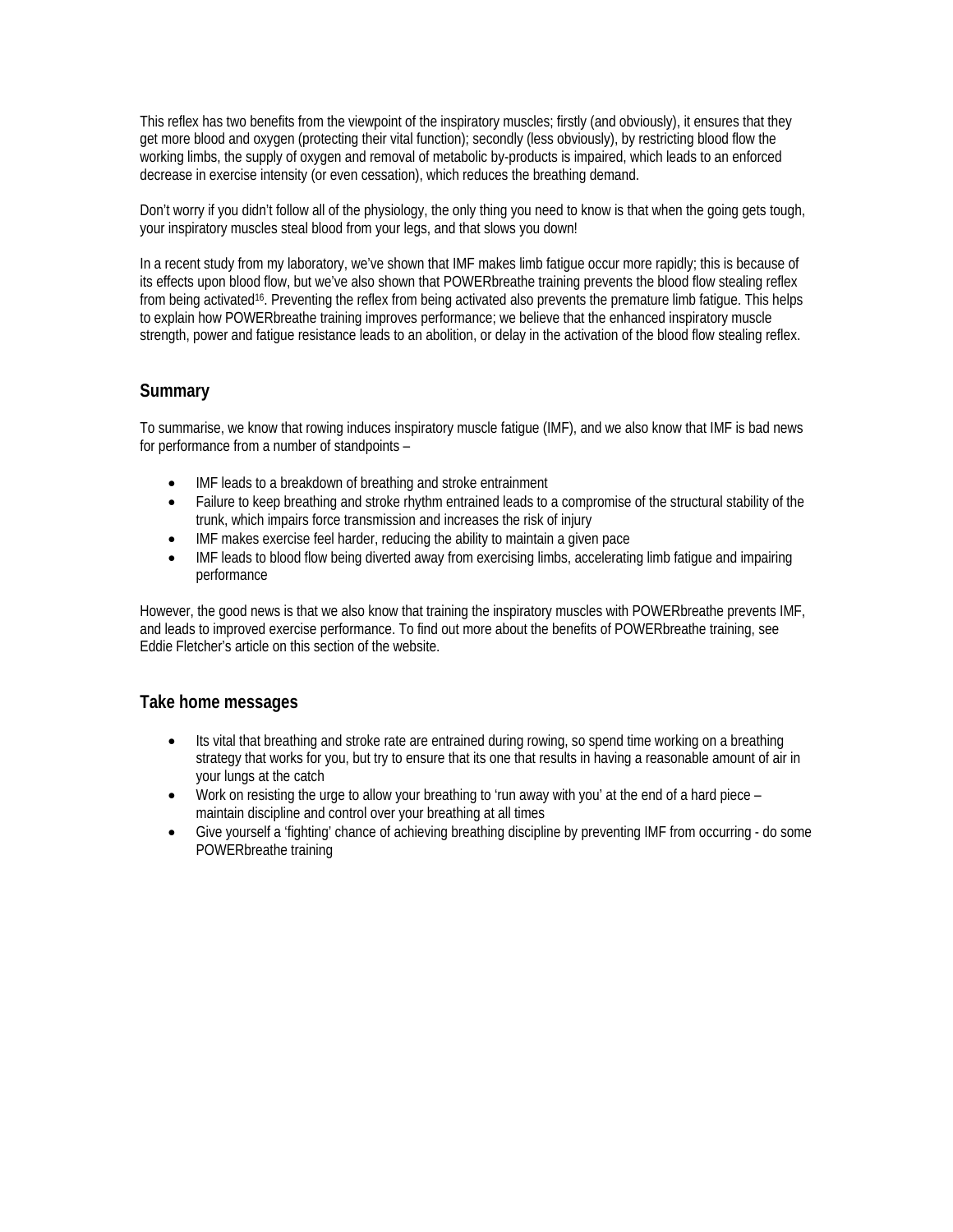This reflex has two benefits from the viewpoint of the inspiratory muscles; firstly (and obviously), it ensures that they get more blood and oxygen (protecting their vital function); secondly (less obviously), by restricting blood flow the working limbs, the supply of oxygen and removal of metabolic by-products is impaired, which leads to an enforced decrease in exercise intensity (or even cessation), which reduces the breathing demand.

Don't worry if you didn't follow all of the physiology, the only thing you need to know is that when the going gets tough, your inspiratory muscles steal blood from your legs, and that slows you down!

In a recent study from my laboratory, we've shown that IMF makes limb fatigue occur more rapidly; this is because of its effects upon blood flow, but we've also shown that POWERbreathe training prevents the blood flow stealing reflex from being activated16. Preventing the reflex from being activated also prevents the premature limb fatigue. This helps to explain how POWERbreathe training improves performance; we believe that the enhanced inspiratory muscle strength, power and fatigue resistance leads to an abolition, or delay in the activation of the blood flow stealing reflex.

# **Summary**

To summarise, we know that rowing induces inspiratory muscle fatigue (IMF), and we also know that IMF is bad news for performance from a number of standpoints –

- IMF leads to a breakdown of breathing and stroke entrainment
- Failure to keep breathing and stroke rhythm entrained leads to a compromise of the structural stability of the trunk, which impairs force transmission and increases the risk of injury
- IMF makes exercise feel harder, reducing the ability to maintain a given pace
- IMF leads to blood flow being diverted away from exercising limbs, accelerating limb fatigue and impairing performance

However, the good news is that we also know that training the inspiratory muscles with POWERbreathe prevents IMF, and leads to improved exercise performance. To find out more about the benefits of POWERbreathe training, see Eddie Fletcher's article on this section of the website.

#### **Take home messages**

- Its vital that breathing and stroke rate are entrained during rowing, so spend time working on a breathing strategy that works for you, but try to ensure that its one that results in having a reasonable amount of air in your lungs at the catch
- Work on resisting the urge to allow your breathing to 'run away with you' at the end of a hard piece maintain discipline and control over your breathing at all times
- Give yourself a 'fighting' chance of achieving breathing discipline by preventing IMF from occurring do some POWERbreathe training